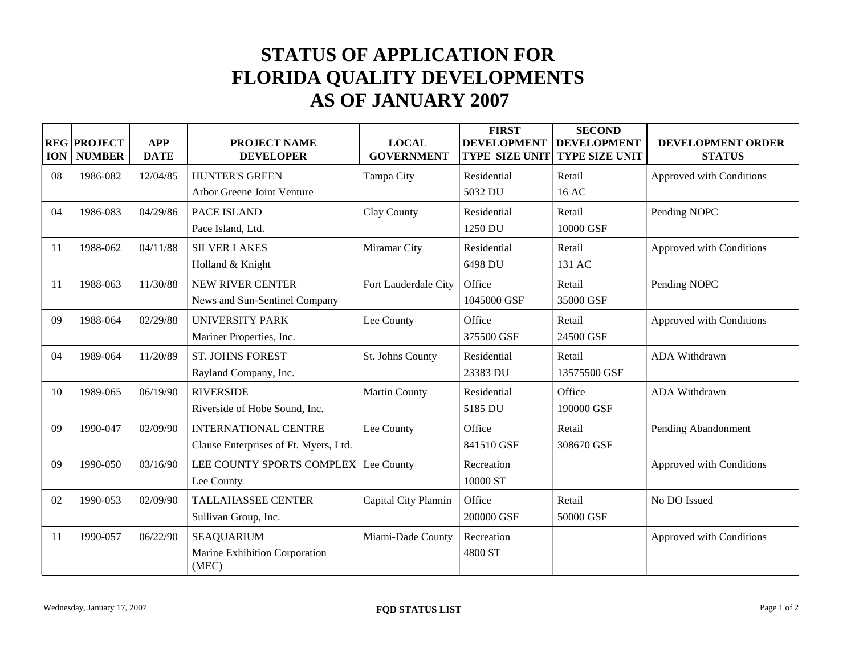## **STATUS OF APPLICATION FOR FLORIDA QUALITY DEVELOPMENTS AS OF JANUARY 2007**

| <b>ION</b> | <b>REG PROJECT</b><br><b>NUMBER</b> | <b>APP</b><br><b>DATE</b> | <b>PROJECT NAME</b><br><b>DEVELOPER</b>                              | <b>LOCAL</b><br><b>GOVERNMENT</b> | <b>FIRST</b><br><b>DEVELOPMENT</b><br><b>TYPE SIZE UNIT</b> | <b>SECOND</b><br><b>DEVELOPMENT</b><br><b>TYPE SIZE UNIT</b> | DEVELOPMENT ORDER<br><b>STATUS</b> |
|------------|-------------------------------------|---------------------------|----------------------------------------------------------------------|-----------------------------------|-------------------------------------------------------------|--------------------------------------------------------------|------------------------------------|
| 08         | 1986-082                            | 12/04/85                  | <b>HUNTER'S GREEN</b><br>Arbor Greene Joint Venture                  | Tampa City                        | Residential<br>5032 DU                                      | Retail<br>16 AC                                              | Approved with Conditions           |
| 04         | 1986-083                            | 04/29/86                  | PACE ISLAND<br>Pace Island, Ltd.                                     | Clay County                       | Residential<br>1250 DU                                      | Retail<br>10000 GSF                                          | Pending NOPC                       |
| 11         | 1988-062                            | 04/11/88                  | <b>SILVER LAKES</b><br>Holland & Knight                              | Miramar City                      | Residential<br>6498 DU                                      | Retail<br>131 AC                                             | Approved with Conditions           |
| 11         | 1988-063                            | 11/30/88                  | <b>NEW RIVER CENTER</b><br>News and Sun-Sentinel Company             | Fort Lauderdale City              | Office<br>1045000 GSF                                       | Retail<br>35000 GSF                                          | Pending NOPC                       |
| 09         | 1988-064                            | 02/29/88                  | <b>UNIVERSITY PARK</b><br>Mariner Properties, Inc.                   | Lee County                        | Office<br>375500 GSF                                        | Retail<br>24500 GSF                                          | Approved with Conditions           |
| 04         | 1989-064                            | 11/20/89                  | <b>ST. JOHNS FOREST</b><br>Rayland Company, Inc.                     | St. Johns County                  | Residential<br>23383 DU                                     | Retail<br>13575500 GSF                                       | <b>ADA Withdrawn</b>               |
| 10         | 1989-065                            | 06/19/90                  | <b>RIVERSIDE</b><br>Riverside of Hobe Sound, Inc.                    | <b>Martin County</b>              | Residential<br>5185 DU                                      | Office<br>190000 GSF                                         | <b>ADA Withdrawn</b>               |
| 09         | 1990-047                            | 02/09/90                  | <b>INTERNATIONAL CENTRE</b><br>Clause Enterprises of Ft. Myers, Ltd. | Lee County                        | Office<br>841510 GSF                                        | Retail<br>308670 GSF                                         | Pending Abandonment                |
| 09         | 1990-050                            | 03/16/90                  | LEE COUNTY SPORTS COMPLEX<br>Lee County                              | Lee County                        | Recreation<br>10000 ST                                      |                                                              | Approved with Conditions           |
| 02         | 1990-053                            | 02/09/90                  | <b>TALLAHASSEE CENTER</b><br>Sullivan Group, Inc.                    | Capital City Plannin              | Office<br>200000 GSF                                        | Retail<br>50000 GSF                                          | No DO Issued                       |
| 11         | 1990-057                            | 06/22/90                  | <b>SEAQUARIUM</b><br>Marine Exhibition Corporation<br>(MEC)          | Miami-Dade County                 | Recreation<br>4800 ST                                       |                                                              | Approved with Conditions           |